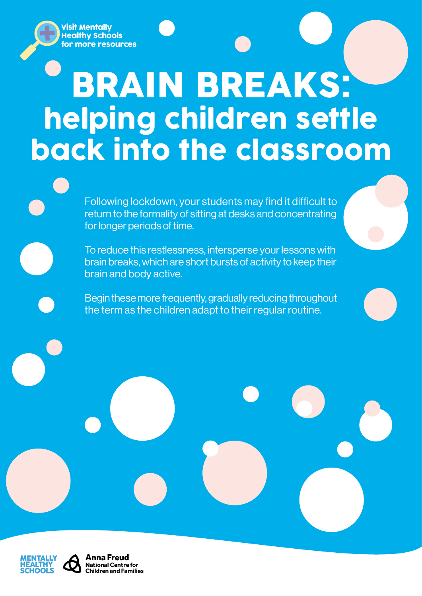Visit Mentally Healthy Schools [for more resources](https://mentallyhealthyschools.org.uk/mental-health-needs/rebuild-and-recover-resources)

# BRAIN BREAKS: helping children settle back into the classroom

Following lockdown, your students may find it difficult to return to the formality of sitting at desks and concentrating for longer periods of time.

To reduce this restlessness, intersperse your lessons with brain breaks, which are short bursts of activity to keep their brain and body active.

Begin these more frequently, gradually reducing throughout the term as the children adapt to their regular routine.



Anna Freud **National Centre for Children and Families**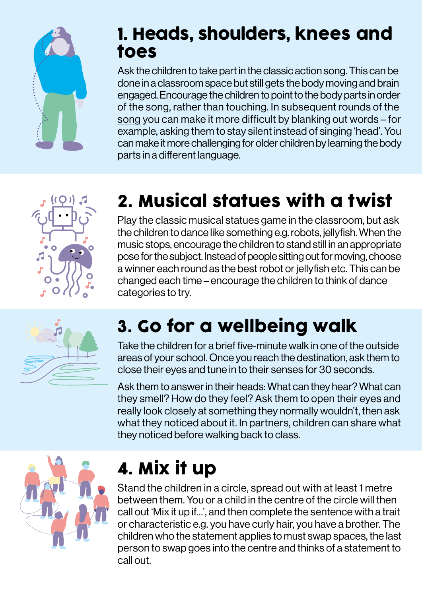

#### 1. Heads, shoulders, knees and toes

Ask the children to take part in the classic action song. This can be done in a classroom space but still gets the body moving and brain engaged. Encourage the children to point to the body parts in order of the song, rather than touching. In subsequent rounds of the [song](https://www.bbc.co.uk/teach/school-radio/nursery-rhymes-heads-shoulders-knees-and-toes/zd9f6v4) you can make it more difficult by blanking out words – for example, asking them to stay silent instead of singing 'head'. You can make it more challenging for older children by learning the body parts in a different language.



## 2. Musical statues with a twist

Play the classic musical statues game in the classroom, but ask the children to dance like something e.g. robots, jellyfish. When the music stops, encourage the children to stand still in an appropriate pose for the subject. Instead of people sitting out for moving, choose a winner each round as the best robot or jellyfish etc. This can be changed each time – encourage the children to think of dance categories to try.



#### 3. Go for a wellbeing walk

Take the children for a brief five-minute walk in one of the outside areas of your school. Once you reach the destination, ask them to close their eyes and tune in to their senses for 30 seconds.

Ask them to answer in their heads: What can they hear? What can they smell? How do they feel? Ask them to open their eyes and really look closely at something they normally wouldn't, then ask what they noticed about it. In partners, children can share what they noticed before walking back to class.



#### 4. Mix it up

Stand the children in a circle, spread out with at least 1 metre between them. You or a child in the centre of the circle will then call out 'Mix it up if…', and then complete the sentence with a trait or characteristic e.g. you have curly hair, you have a brother. The children who the statement applies to must swap spaces, the last person to swap goes into the centre and thinks of a statement to call out.